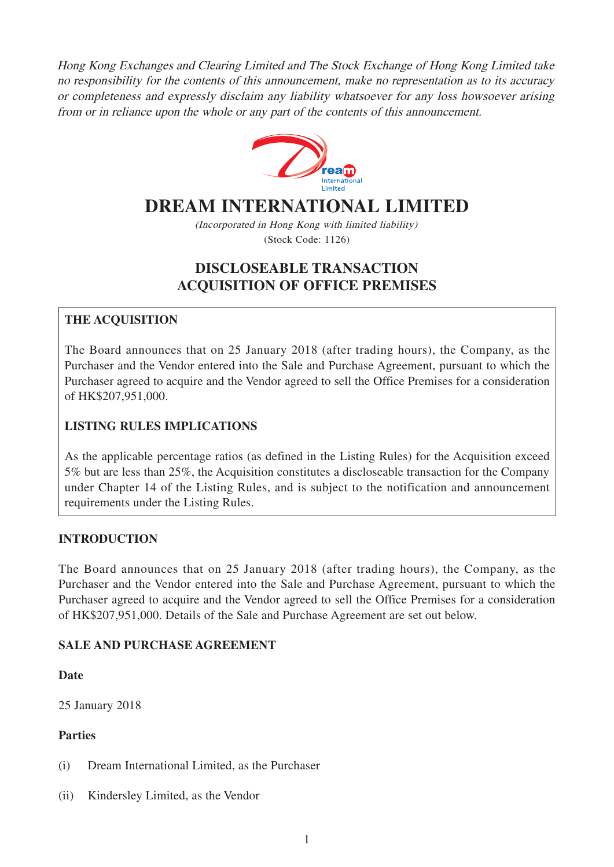Hong Kong Exchanges and Clearing Limited and The Stock Exchange of Hong Kong Limited take no responsibility for the contents of this announcement, make no representation as to its accuracy or completeness and expressly disclaim any liability whatsoever for any loss howsoever arising from or in reliance upon the whole or any part of the contents of this announcement.



# **DREAM INTERNATIONAL LIMITED**

(Incorporated in Hong Kong with limited liability) (Stock Code: 1126)

# **DISCLOSEABLE TRANSACTION ACQUISITION OF OFFICE PREMISES**

# **THE ACQUISITION**

The Board announces that on 25 January 2018 (after trading hours), the Company, as the Purchaser and the Vendor entered into the Sale and Purchase Agreement, pursuant to which the Purchaser agreed to acquire and the Vendor agreed to sell the Office Premises for a consideration of HK\$207,951,000.

# **LISTING RULES IMPLICATIONS**

As the applicable percentage ratios (as defined in the Listing Rules) for the Acquisition exceed 5% but are less than 25%, the Acquisition constitutes a discloseable transaction for the Company under Chapter 14 of the Listing Rules, and is subject to the notification and announcement requirements under the Listing Rules.

## **INTRODUCTION**

The Board announces that on 25 January 2018 (after trading hours), the Company, as the Purchaser and the Vendor entered into the Sale and Purchase Agreement, pursuant to which the Purchaser agreed to acquire and the Vendor agreed to sell the Office Premises for a consideration of HK\$207,951,000. Details of the Sale and Purchase Agreement are set out below.

#### **SALE AND PURCHASE AGREEMENT**

**Date**

25 January 2018

#### **Parties**

- (i) Dream International Limited, as the Purchaser
- (ii) Kindersley Limited, as the Vendor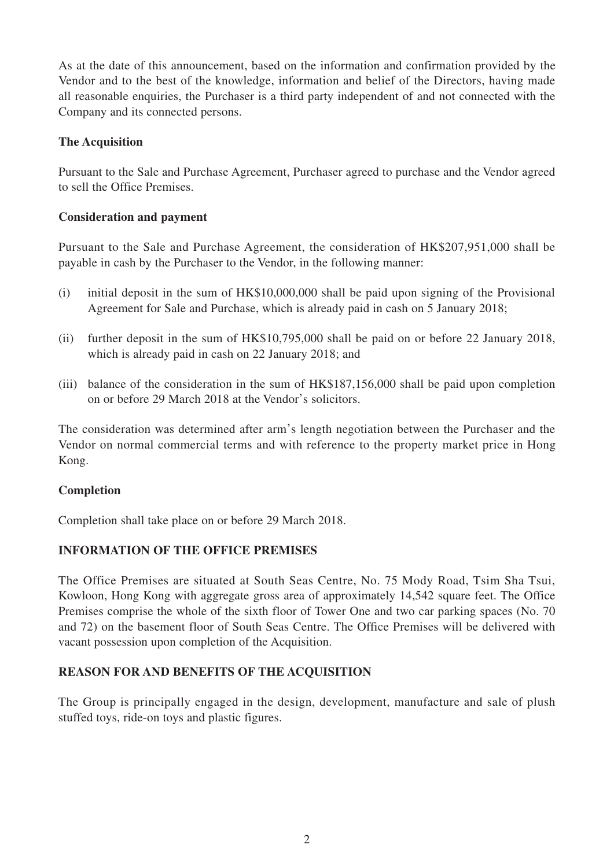As at the date of this announcement, based on the information and confirmation provided by the Vendor and to the best of the knowledge, information and belief of the Directors, having made all reasonable enquiries, the Purchaser is a third party independent of and not connected with the Company and its connected persons.

#### **The Acquisition**

Pursuant to the Sale and Purchase Agreement, Purchaser agreed to purchase and the Vendor agreed to sell the Office Premises.

#### **Consideration and payment**

Pursuant to the Sale and Purchase Agreement, the consideration of HK\$207,951,000 shall be payable in cash by the Purchaser to the Vendor, in the following manner:

- (i) initial deposit in the sum of HK\$10,000,000 shall be paid upon signing of the Provisional Agreement for Sale and Purchase, which is already paid in cash on 5 January 2018;
- (ii) further deposit in the sum of HK\$10,795,000 shall be paid on or before 22 January 2018, which is already paid in cash on 22 January 2018; and
- (iii) balance of the consideration in the sum of HK\$187,156,000 shall be paid upon completion on or before 29 March 2018 at the Vendor's solicitors.

The consideration was determined after arm's length negotiation between the Purchaser and the Vendor on normal commercial terms and with reference to the property market price in Hong Kong.

#### **Completion**

Completion shall take place on or before 29 March 2018.

## **INFORMATION OF THE OFFICE PREMISES**

The Office Premises are situated at South Seas Centre, No. 75 Mody Road, Tsim Sha Tsui, Kowloon, Hong Kong with aggregate gross area of approximately 14,542 square feet. The Office Premises comprise the whole of the sixth floor of Tower One and two car parking spaces (No. 70 and 72) on the basement floor of South Seas Centre. The Office Premises will be delivered with vacant possession upon completion of the Acquisition.

## **REASON FOR AND BENEFITS OF THE ACQUISITION**

The Group is principally engaged in the design, development, manufacture and sale of plush stuffed toys, ride-on toys and plastic figures.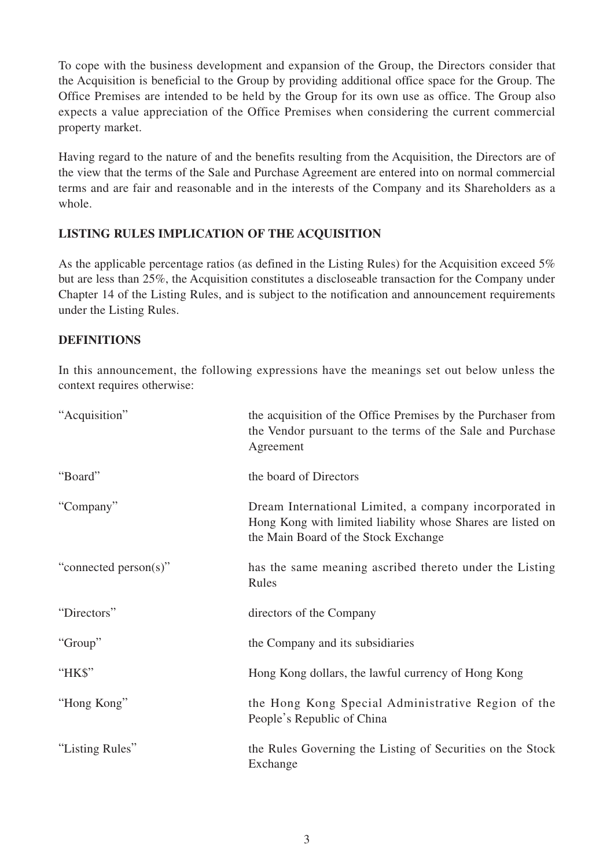To cope with the business development and expansion of the Group, the Directors consider that the Acquisition is beneficial to the Group by providing additional office space for the Group. The Office Premises are intended to be held by the Group for its own use as office. The Group also expects a value appreciation of the Office Premises when considering the current commercial property market.

Having regard to the nature of and the benefits resulting from the Acquisition, the Directors are of the view that the terms of the Sale and Purchase Agreement are entered into on normal commercial terms and are fair and reasonable and in the interests of the Company and its Shareholders as a whole.

## **LISTING RULES IMPLICATION OF THE ACQUISITION**

As the applicable percentage ratios (as defined in the Listing Rules) for the Acquisition exceed 5% but are less than 25%, the Acquisition constitutes a discloseable transaction for the Company under Chapter 14 of the Listing Rules, and is subject to the notification and announcement requirements under the Listing Rules.

#### **DEFINITIONS**

In this announcement, the following expressions have the meanings set out below unless the context requires otherwise:

| "Acquisition"         | the acquisition of the Office Premises by the Purchaser from<br>the Vendor pursuant to the terms of the Sale and Purchase<br>Agreement                        |
|-----------------------|---------------------------------------------------------------------------------------------------------------------------------------------------------------|
| "Board"               | the board of Directors                                                                                                                                        |
| "Company"             | Dream International Limited, a company incorporated in<br>Hong Kong with limited liability whose Shares are listed on<br>the Main Board of the Stock Exchange |
| "connected person(s)" | has the same meaning ascribed thereto under the Listing<br>Rules                                                                                              |
| "Directors"           | directors of the Company                                                                                                                                      |
| "Group"               | the Company and its subsidiaries                                                                                                                              |
| "HK\$"                | Hong Kong dollars, the lawful currency of Hong Kong                                                                                                           |
| "Hong Kong"           | the Hong Kong Special Administrative Region of the<br>People's Republic of China                                                                              |
| "Listing Rules"       | the Rules Governing the Listing of Securities on the Stock<br>Exchange                                                                                        |